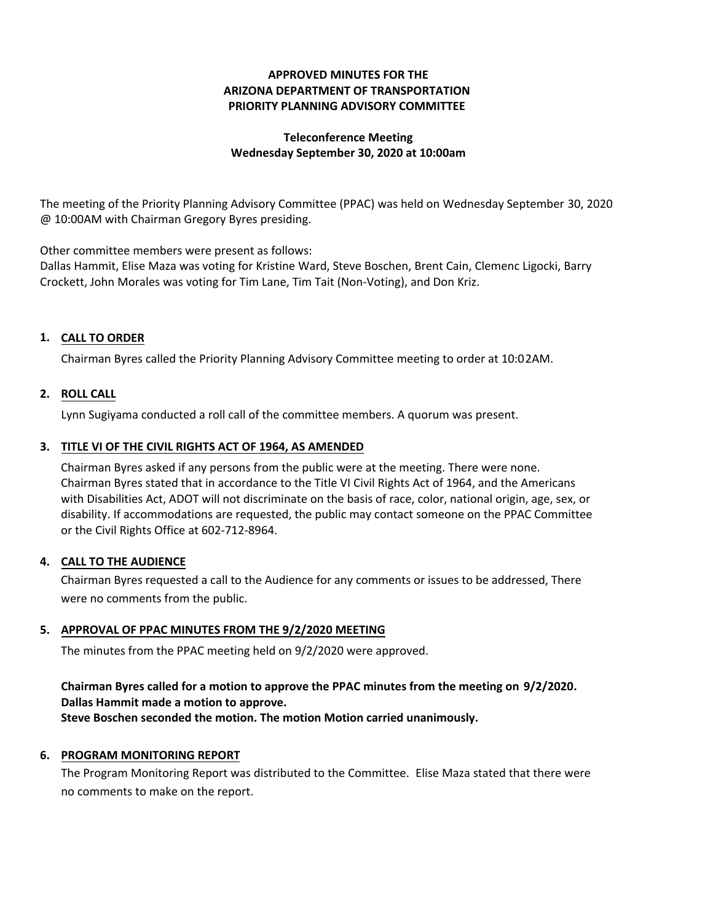#### **APPROVED MINUTES FOR THE ARIZONA DEPARTMENT OF TRANSPORTATION PRIORITY PLANNING ADVISORY COMMITTEE**

## **Teleconference Meeting Wednesday September 30, 2020 at 10:00am**

The meeting of the Priority Planning Advisory Committee (PPAC) was held on Wednesday September 30, 2020 @ 10:00AM with Chairman Gregory Byres presiding.

Other committee members were present as follows:

Dallas Hammit, Elise Maza was voting for Kristine Ward, Steve Boschen, Brent Cain, Clemenc Ligocki, Barry Crockett, John Morales was voting for Tim Lane, Tim Tait (Non-Voting), and Don Kriz.

# **CALL TO ORDER 1.**

Chairman Byres called the Priority Planning Advisory Committee meeting to order at 10:02AM.

### **ROLL CALL 2.**

Lynn Sugiyama conducted a roll call of the committee members. A quorum was present.

#### **TITLE VI OF THE CIVIL RIGHTS ACT OF 1964, AS AMENDED 3.**

Chairman Byres asked if any persons from the public were at the meeting. There were none. Chairman Byres stated that in accordance to the Title VI Civil Rights Act of 1964, and the Americans with Disabilities Act, ADOT will not discriminate on the basis of race, color, national origin, age, sex, or disability. If accommodations are requested, the public may contact someone on the PPAC Committee or the Civil Rights Office at 602-712-8964.

#### **CALL TO THE AUDIENCE 4.**

Chairman Byres requested a call to the Audience for any comments or issues to be addressed, There were no comments from the public.

## **APPROVAL OF PPAC MINUTES FROM THE 9/2/2020 MEETING 5.**

The minutes from the PPAC meeting held on 9/2/2020 were approved.

### **Chairman Byres called for a motion to approve the PPAC minutes from the meeting on 9/2/2020. Dallas Hammit made a motion to approve.**

**Steve Boschen seconded the motion. The motion Motion carried unanimously.**

# **6. PROGRAM MONITORING REPORT**

The Program Monitoring Report was distributed to the Committee. Elise Maza stated that there were no comments to make on the report.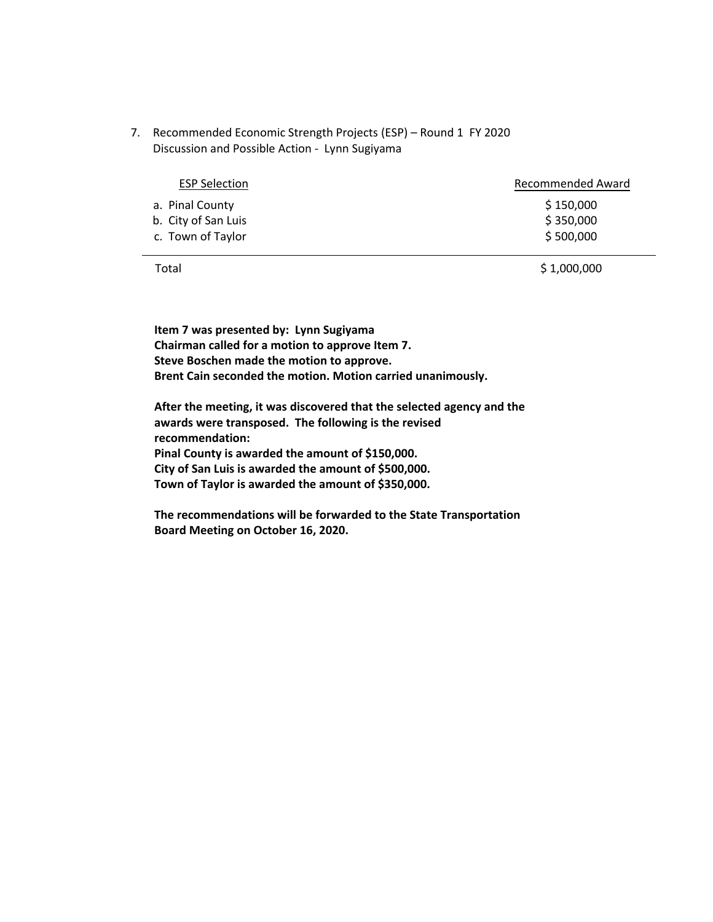7. Recommended Economic Strength Projects (ESP) – Round 1 FY 2020 Discussion and Possible Action - Lynn Sugiyama

| <b>ESP Selection</b> | Recommended Award |
|----------------------|-------------------|
| a. Pinal County      | \$150,000         |
| b. City of San Luis  | \$350,000         |
| c. Town of Taylor    | \$500,000         |
|                      |                   |

 $Total$   $$ 1,000,000$ 

**Item 7 was presented by: Lynn Sugiyama Chairman called for a motion to approve Item 7. Steve Boschen made the motion to approve. Brent Cain seconded the motion. Motion carried unanimously.** 

**After the meeting, it was discovered that the selected agency and the awards were transposed. The following is the revised recommendation: Pinal County is awarded the amount of \$150,000. City of San Luis is awarded the amount of \$500,000. Town of Taylor is awarded the amount of \$350,000.** 

**The recommendations will be forwarded to the State Transportation Board Meeting on October 16, 2020.**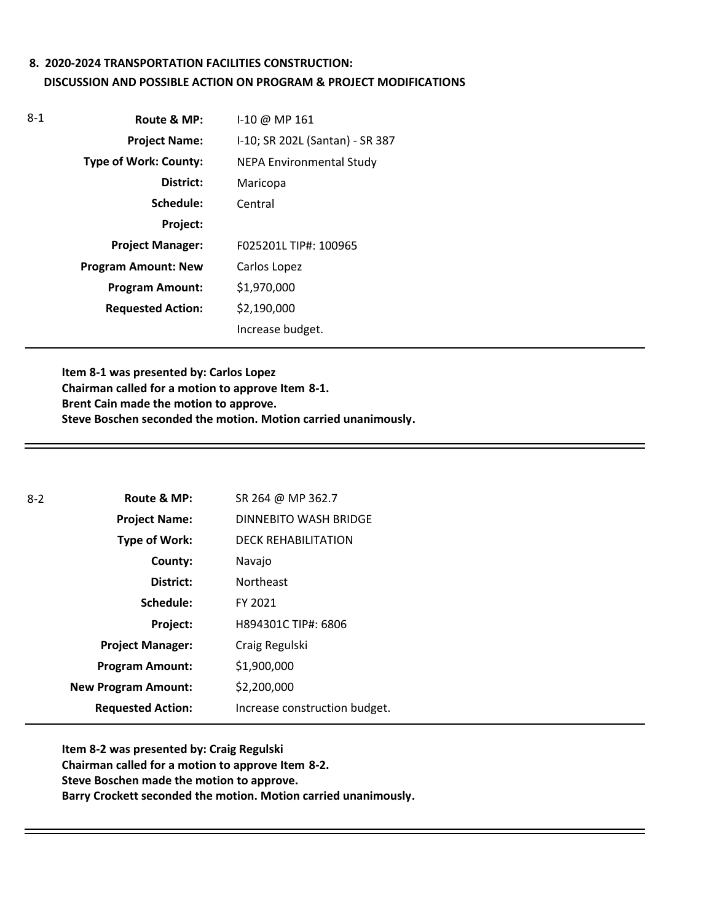# **8. 2020-2024 TRANSPORTATION FACILITIES CONSTRUCTION: DISCUSSION AND POSSIBLE ACTION ON PROGRAM & PROJECT MODIFICATIONS**

| 8-1 | Route & MP:                  | I-10 @ MP 161                   |
|-----|------------------------------|---------------------------------|
|     | <b>Project Name:</b>         | I-10; SR 202L (Santan) - SR 387 |
|     | <b>Type of Work: County:</b> | <b>NEPA Environmental Study</b> |
|     | District:                    | Maricopa                        |
|     | Schedule:                    | Central                         |
|     | Project:                     |                                 |
|     | <b>Project Manager:</b>      | F025201L TIP#: 100965           |
|     | <b>Program Amount: New</b>   | Carlos Lopez                    |
|     | <b>Program Amount:</b>       | \$1,970,000                     |
|     | <b>Requested Action:</b>     | \$2,190,000                     |
|     |                              | Increase budget.                |

**Item 8-1 was presented by: Carlos Lopez Chairman called for a motion to approve Item 8-1. Brent Cain made the motion to approve. Steve Boschen seconded the motion. Motion carried unanimously.**

| $8 - 2$ | Route & MP:                | SR 264 @ MP 362.7             |
|---------|----------------------------|-------------------------------|
|         | <b>Project Name:</b>       | <b>DINNEBITO WASH BRIDGE</b>  |
|         | <b>Type of Work:</b>       | <b>DECK REHABILITATION</b>    |
|         | County:                    | Navajo                        |
|         | District:                  | <b>Northeast</b>              |
|         | Schedule:                  | FY 2021                       |
|         | Project:                   | H894301C TIP#: 6806           |
|         | <b>Project Manager:</b>    | Craig Regulski                |
|         | <b>Program Amount:</b>     | \$1,900,000                   |
|         | <b>New Program Amount:</b> | \$2,200,000                   |
|         | <b>Requested Action:</b>   | Increase construction budget. |

**Item 8-2 was presented by: Craig Regulski Chairman called for a motion to approve Item 8-2. Steve Boschen made the motion to approve. Barry Crockett seconded the motion. Motion carried unanimously.**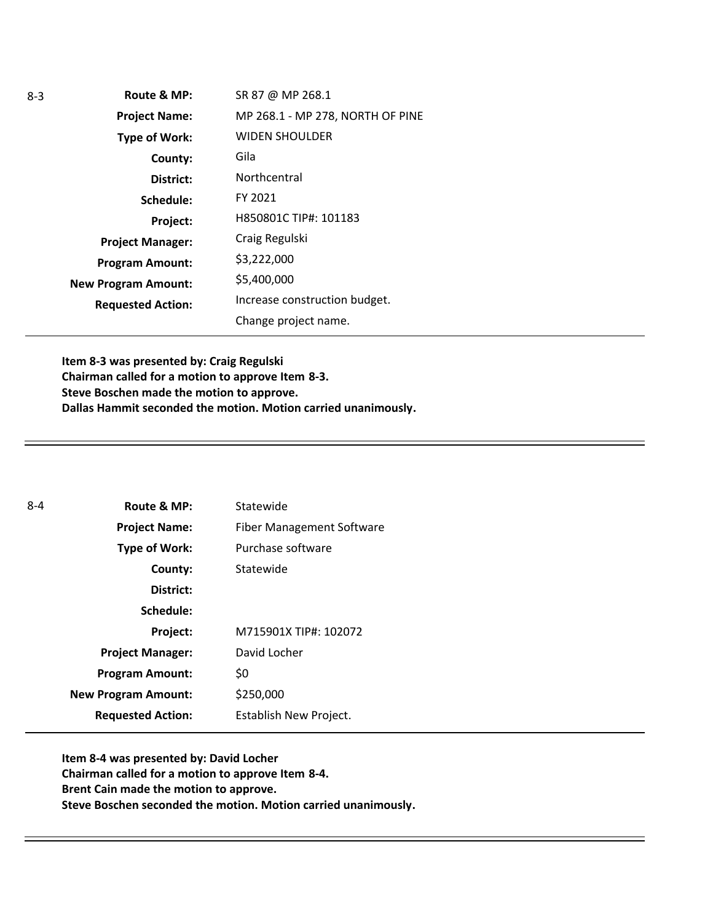| 3 | Route & MP:                | SR 87 @ MP 268.1                 |
|---|----------------------------|----------------------------------|
|   | <b>Project Name:</b>       | MP 268.1 - MP 278, NORTH OF PINE |
|   | <b>Type of Work:</b>       | <b>WIDEN SHOULDER</b>            |
|   | County:                    | Gila                             |
|   | District:                  | Northcentral                     |
|   | Schedule:                  | FY 2021                          |
|   | Project:                   | H850801C TIP#: 101183            |
|   | <b>Project Manager:</b>    | Craig Regulski                   |
|   | <b>Program Amount:</b>     | \$3,222,000                      |
|   | <b>New Program Amount:</b> | \$5,400,000                      |
|   | <b>Requested Action:</b>   | Increase construction budget.    |
|   |                            | Change project name.             |

**Item 8-3 was presented by: Craig Regulski Chairman called for a motion to approve Item 8-3. Steve Boschen made the motion to approve. Dallas Hammit seconded the motion. Motion carried unanimously.** 

| $8 - 4$ | Route & MP:                | Statewide                        |
|---------|----------------------------|----------------------------------|
|         | <b>Project Name:</b>       | <b>Fiber Management Software</b> |
|         | Type of Work:              | Purchase software                |
|         | County:                    | Statewide                        |
|         | District:                  |                                  |
|         | Schedule:                  |                                  |
|         | <b>Project:</b>            | M715901X TIP#: 102072            |
|         | <b>Project Manager:</b>    | David Locher                     |
|         | <b>Program Amount:</b>     | \$0                              |
|         | <b>New Program Amount:</b> | \$250,000                        |
|         | <b>Requested Action:</b>   | Establish New Project.           |

**Item 8-4 was presented by: David Locher Chairman called for a motion to approve Item 8-4. Brent Cain made the motion to approve. Steve Boschen seconded the motion. Motion carried unanimously.**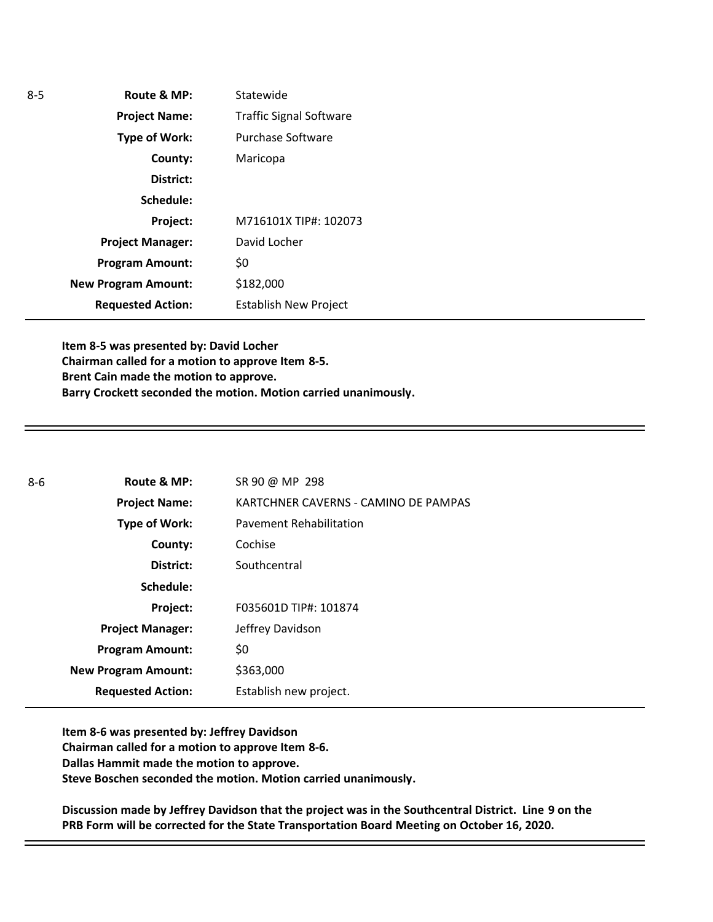| $8 - 5$ | Route & MP:                | Statewide                      |
|---------|----------------------------|--------------------------------|
|         | <b>Project Name:</b>       | <b>Traffic Signal Software</b> |
|         | Type of Work:              | Purchase Software              |
|         | County:                    | Maricopa                       |
|         | District:                  |                                |
|         | Schedule:                  |                                |
|         | Project:                   | M716101X TIP#: 102073          |
|         | <b>Project Manager:</b>    | David Locher                   |
|         | <b>Program Amount:</b>     | \$0                            |
|         | <b>New Program Amount:</b> | \$182,000                      |
|         | <b>Requested Action:</b>   | <b>Establish New Project</b>   |

**Item 8-5 was presented by: David Locher Chairman called for a motion to approve Item 8-5. Brent Cain made the motion to approve. Barry Crockett seconded the motion. Motion carried unanimously.**

| SR 90 @ MP 298                       |
|--------------------------------------|
| KARTCHNER CAVERNS - CAMINO DE PAMPAS |
| Pavement Rehabilitation              |
| Cochise                              |
| Southcentral                         |
|                                      |
| F035601D TIP#: 101874                |
| Jeffrey Davidson                     |
| \$0                                  |
| \$363,000                            |
| Establish new project.               |
|                                      |

**Item 8-6 was presented by: Jeffrey Davidson Chairman called for a motion to approve Item 8-6. Dallas Hammit made the motion to approve. Steve Boschen seconded the motion. Motion carried unanimously.** 

**Discussion made by Jeffrey Davidson that the project was in the Southcentral District. Line 9 on the PRB Form will be corrected for the State Transportation Board Meeting on October 16, 2020.**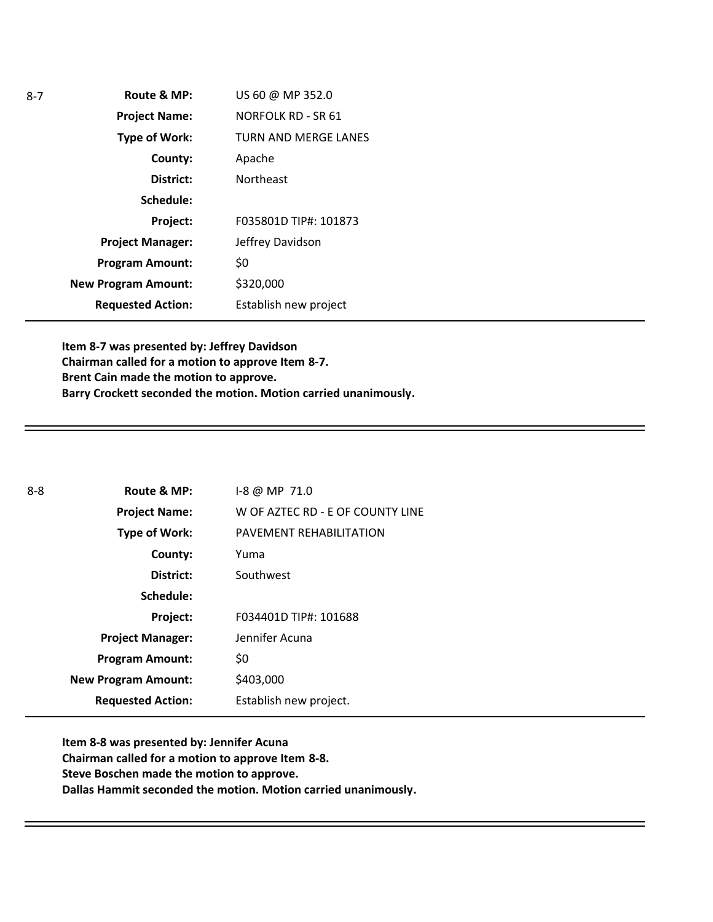| $8 - 7$ | Route & MP:                | US 60 @ MP 352.0          |
|---------|----------------------------|---------------------------|
|         | <b>Project Name:</b>       | <b>NORFOLK RD - SR 61</b> |
|         | <b>Type of Work:</b>       | TURN AND MERGE LANES      |
|         | County:                    | Apache                    |
|         | District:                  | <b>Northeast</b>          |
|         | Schedule:                  |                           |
|         | Project:                   | F035801D TIP#: 101873     |
|         | <b>Project Manager:</b>    | Jeffrey Davidson          |
|         | <b>Program Amount:</b>     | \$0                       |
|         | <b>New Program Amount:</b> | \$320,000                 |
|         | <b>Requested Action:</b>   | Establish new project     |

**Item 8-7 was presented by: Jeffrey Davidson Chairman called for a motion to approve Item 8-7. Brent Cain made the motion to approve. Barry Crockett seconded the motion. Motion carried unanimously.**

| 3-8 | Route & MP:                | I-8 @ MP 71.0                    |
|-----|----------------------------|----------------------------------|
|     | <b>Project Name:</b>       | W OF AZTEC RD - E OF COUNTY LINE |
|     | <b>Type of Work:</b>       | PAVEMENT REHABILITATION          |
|     | County:                    | Yuma                             |
|     | District:                  | Southwest                        |
|     | Schedule:                  |                                  |
|     | Project:                   | F034401D TIP#: 101688            |
|     | <b>Project Manager:</b>    | Jennifer Acuna                   |
|     | <b>Program Amount:</b>     | \$0                              |
|     | <b>New Program Amount:</b> | \$403,000                        |
|     | <b>Requested Action:</b>   | Establish new project.           |

**Item 8-8 was presented by: Jennifer Acuna Chairman called for a motion to approve Item 8-8. Steve Boschen made the motion to approve. Dallas Hammit seconded the motion. Motion carried unanimously.**

8-8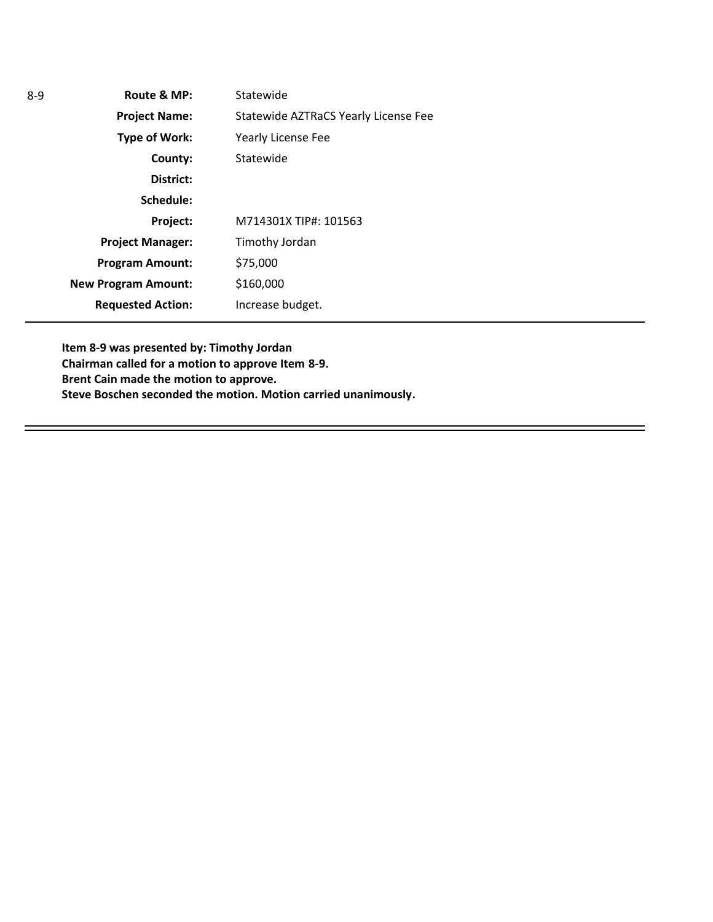| $8-9$ | Route & MP:                | Statewide                            |
|-------|----------------------------|--------------------------------------|
|       | <b>Project Name:</b>       | Statewide AZTRaCS Yearly License Fee |
|       | <b>Type of Work:</b>       | <b>Yearly License Fee</b>            |
|       | County:                    | Statewide                            |
|       | District:                  |                                      |
|       | Schedule:                  |                                      |
|       | Project:                   | M714301X TIP#: 101563                |
|       | <b>Project Manager:</b>    | Timothy Jordan                       |
|       | <b>Program Amount:</b>     | \$75,000                             |
|       | <b>New Program Amount:</b> | \$160,000                            |
|       | <b>Requested Action:</b>   | Increase budget.                     |

**Item 8-9 was presented by: Timothy Jordan Chairman called for a motion to approve Item 8-9. Brent Cain made the motion to approve. Steve Boschen seconded the motion. Motion carried unanimously.**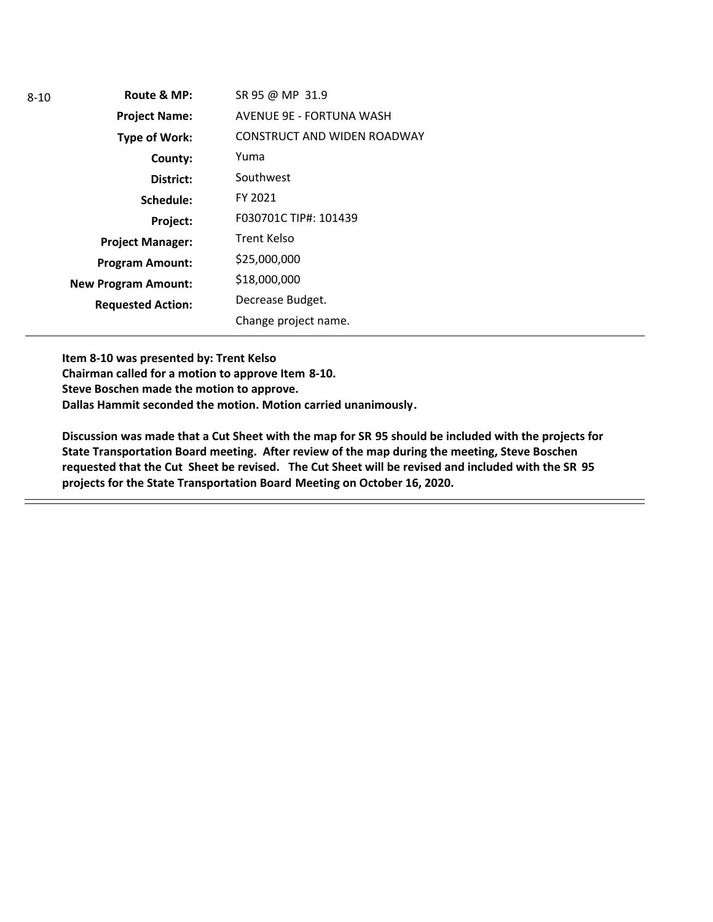| $8 - 10$ | Route & MP:                | SR 95 @ MP 31.9                 |
|----------|----------------------------|---------------------------------|
|          | <b>Project Name:</b>       | <b>AVENUE 9E - FORTUNA WASH</b> |
|          | <b>Type of Work:</b>       | CONSTRUCT AND WIDEN ROADWAY     |
|          | County:                    | Yuma                            |
|          | District:                  | Southwest                       |
|          | Schedule:                  | FY 2021                         |
|          | Project:                   | F030701C TIP#: 101439           |
|          | <b>Project Manager:</b>    | <b>Trent Kelso</b>              |
|          | <b>Program Amount:</b>     | \$25,000,000                    |
|          | <b>New Program Amount:</b> | \$18,000,000                    |
|          | <b>Requested Action:</b>   | Decrease Budget.                |
|          |                            | Change project name.            |

**Item 8-10 was presented by: Trent Kelso Chairman called for a motion to approve Item 8-10. Steve Boschen made the motion to approve. Dallas Hammit seconded the motion. Motion carried unanimously.** 

**Discussion was made that a Cut Sheet with the map for SR 95 should be included with the projects for State Transportation Board meeting. After review of the map during the meeting, Steve Boschen requested that the Cut Sheet be revised. The Cut Sheet will be revised and included with the SR 95 projects for the State Transportation Board Meeting on October 16, 2020.**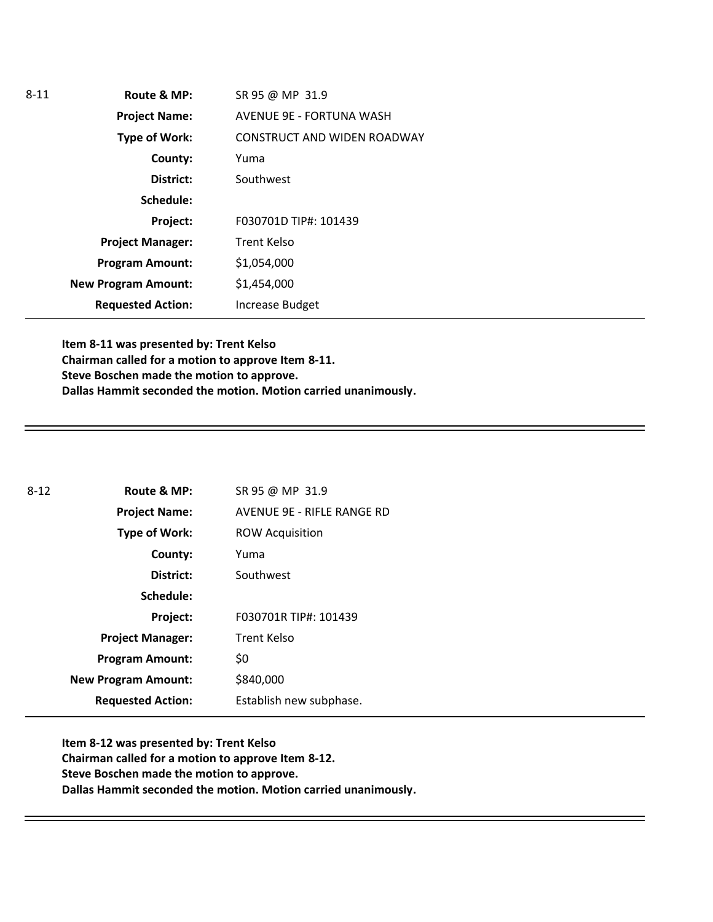| $8 - 11$ | Route & MP:                | SR 95 @ MP 31.9                    |
|----------|----------------------------|------------------------------------|
|          | <b>Project Name:</b>       | AVENUE 9E - FORTUNA WASH           |
|          | <b>Type of Work:</b>       | <b>CONSTRUCT AND WIDEN ROADWAY</b> |
|          | County:                    | Yuma                               |
|          | District:                  | Southwest                          |
|          | Schedule:                  |                                    |
|          | Project:                   | F030701D TIP#: 101439              |
|          | <b>Project Manager:</b>    | Trent Kelso                        |
|          | <b>Program Amount:</b>     | \$1,054,000                        |
|          | <b>New Program Amount:</b> | \$1,454,000                        |
|          | <b>Requested Action:</b>   | <b>Increase Budget</b>             |

**Item 8-11 was presented by: Trent Kelso Chairman called for a motion to approve Item 8-11. Steve Boschen made the motion to approve. Dallas Hammit seconded the motion. Motion carried unanimously.**

| $8 - 12$ | Route & MP:                | SR 95 @ MP 31.9            |
|----------|----------------------------|----------------------------|
|          | <b>Project Name:</b>       | AVENUE 9E - RIFLE RANGE RD |
|          | Type of Work:              | <b>ROW Acquisition</b>     |
|          | County:                    | Yuma                       |
|          | District:                  | Southwest                  |
|          | Schedule:                  |                            |
|          | Project:                   | F030701R TIP#: 101439      |
|          | <b>Project Manager:</b>    | Trent Kelso                |
|          | <b>Program Amount:</b>     | \$0                        |
|          | <b>New Program Amount:</b> | \$840,000                  |
|          | <b>Requested Action:</b>   | Establish new subphase.    |

**Item 8-12 was presented by: Trent Kelso Chairman called for a motion to approve Item 8-12. Steve Boschen made the motion to approve. Dallas Hammit seconded the motion. Motion carried unanimously.**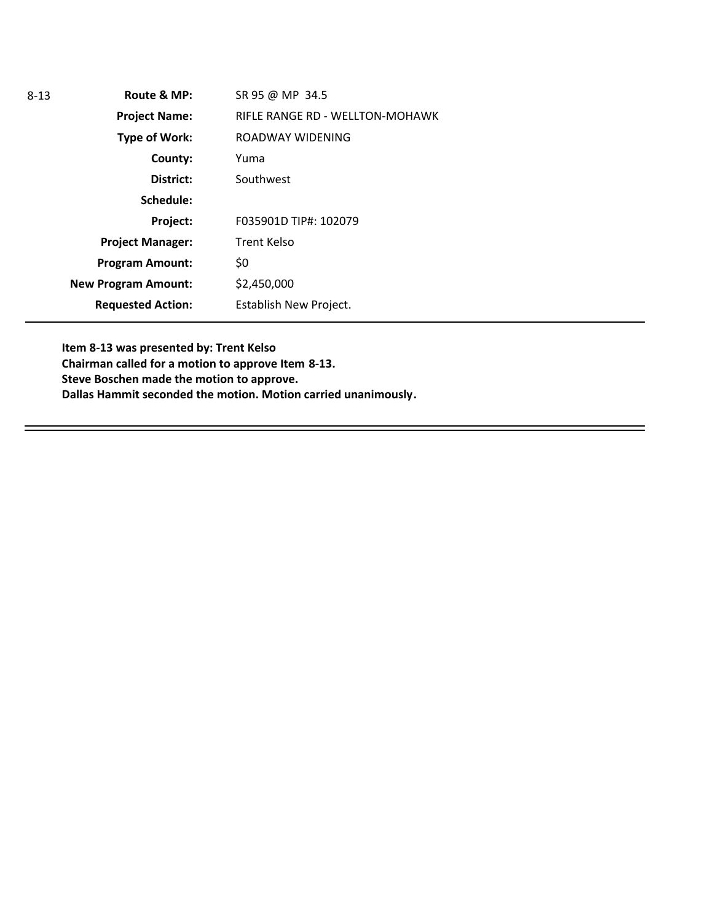| 8-13 | Route & MP:                | SR 95 @ MP 34.5                 |
|------|----------------------------|---------------------------------|
|      | <b>Project Name:</b>       | RIFLE RANGE RD - WELLTON-MOHAWK |
|      | <b>Type of Work:</b>       | ROADWAY WIDENING                |
|      | County:                    | Yuma                            |
|      | District:                  | Southwest                       |
|      | Schedule:                  |                                 |
|      | Project:                   | F035901D TIP#: 102079           |
|      | <b>Project Manager:</b>    | <b>Trent Kelso</b>              |
|      | <b>Program Amount:</b>     | \$0                             |
|      | <b>New Program Amount:</b> | \$2,450,000                     |
|      | <b>Requested Action:</b>   | Establish New Project.          |

**Item 8-13 was presented by: Trent Kelso Chairman called for a motion to approve Item 8-13. Steve Boschen made the motion to approve. Dallas Hammit seconded the motion. Motion carried unanimously.**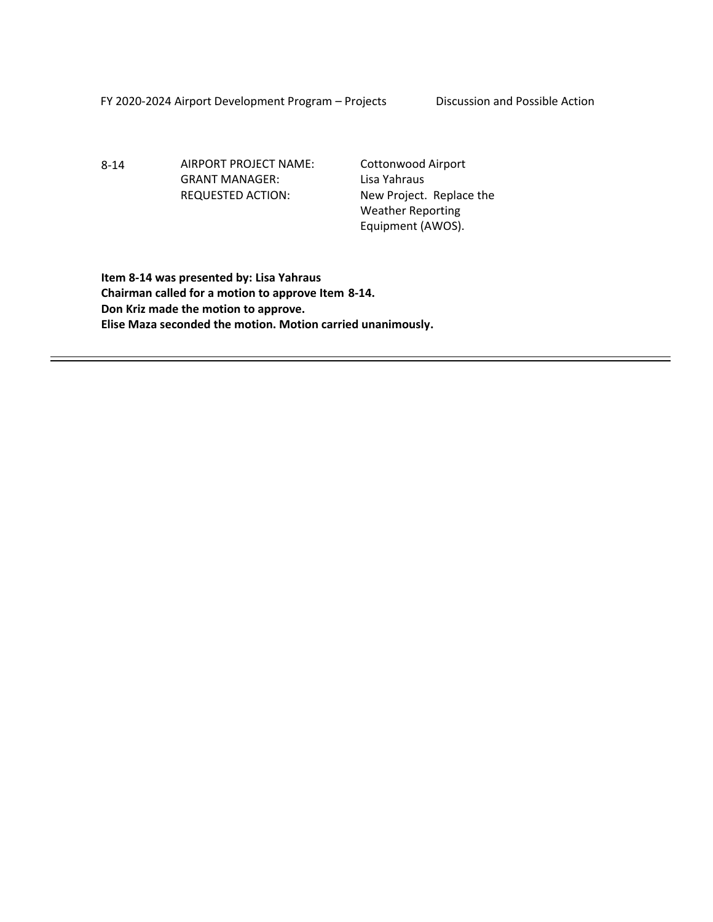FY 2020-2024 Airport Development Program – Projects Discussion and Possible Action

8-14 AIRPORT PROJECT NAME: GRANT MANAGER: REQUESTED ACTION:

Cottonwood Airport Lisa Yahraus New Project. Replace the Weather Reporting Equipment (AWOS).

**Item 8-14 was presented by: Lisa Yahraus Chairman called for a motion to approve Item 8-14. Don Kriz made the motion to approve. Elise Maza seconded the motion. Motion carried unanimously.**